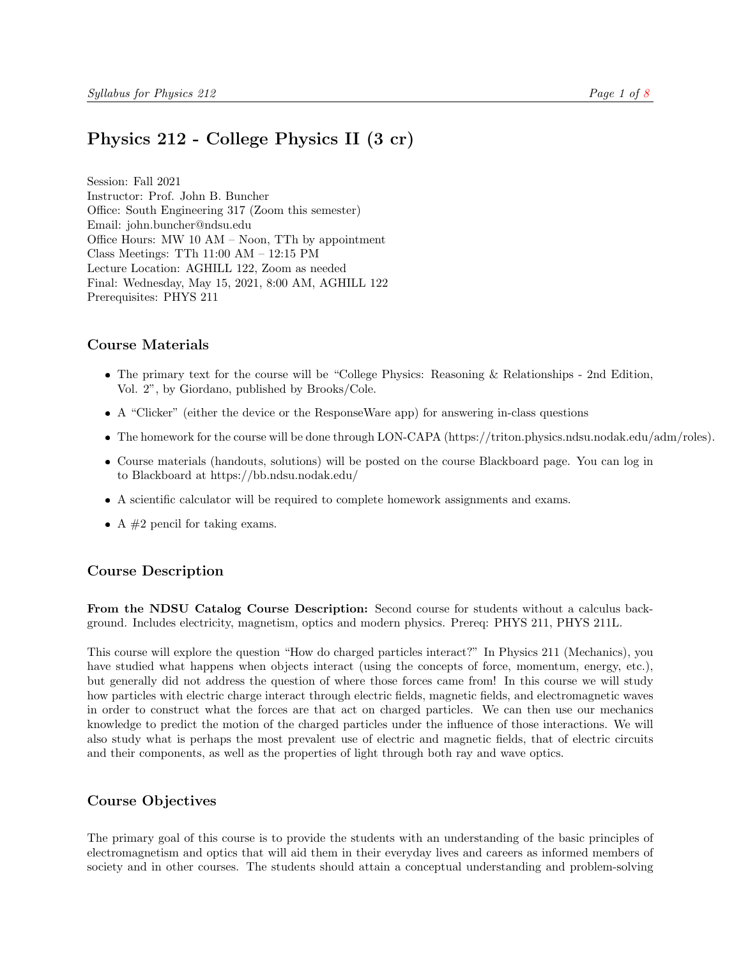# <span id="page-0-0"></span>Physics 212 - College Physics II (3 cr)

Session: Fall 2021 Instructor: Prof. John B. Buncher Office: South Engineering 317 (Zoom this semester) Email: john.buncher@ndsu.edu Office Hours: MW 10 AM – Noon, TTh by appointment Class Meetings: TTh 11:00 AM – 12:15 PM Lecture Location: AGHILL 122, Zoom as needed Final: Wednesday, May 15, 2021, 8:00 AM, AGHILL 122 Prerequisites: PHYS 211

## Course Materials

- The primary text for the course will be "College Physics: Reasoning & Relationships 2nd Edition, Vol. 2", by Giordano, published by Brooks/Cole.
- A "Clicker" (either the device or the ResponseWare app) for answering in-class questions
- The homework for the course will be done through LON-CAPA (https://triton.physics.ndsu.nodak.edu/adm/roles).
- Course materials (handouts, solutions) will be posted on the course Blackboard page. You can log in to Blackboard at https://bb.ndsu.nodak.edu/
- A scientific calculator will be required to complete homework assignments and exams.
- A  $#2$  pencil for taking exams.

## Course Description

From the NDSU Catalog Course Description: Second course for students without a calculus background. Includes electricity, magnetism, optics and modern physics. Prereq: PHYS 211, PHYS 211L.

This course will explore the question "How do charged particles interact?" In Physics 211 (Mechanics), you have studied what happens when objects interact (using the concepts of force, momentum, energy, etc.), but generally did not address the question of where those forces came from! In this course we will study how particles with electric charge interact through electric fields, magnetic fields, and electromagnetic waves in order to construct what the forces are that act on charged particles. We can then use our mechanics knowledge to predict the motion of the charged particles under the influence of those interactions. We will also study what is perhaps the most prevalent use of electric and magnetic fields, that of electric circuits and their components, as well as the properties of light through both ray and wave optics.

## Course Objectives

The primary goal of this course is to provide the students with an understanding of the basic principles of electromagnetism and optics that will aid them in their everyday lives and careers as informed members of society and in other courses. The students should attain a conceptual understanding and problem-solving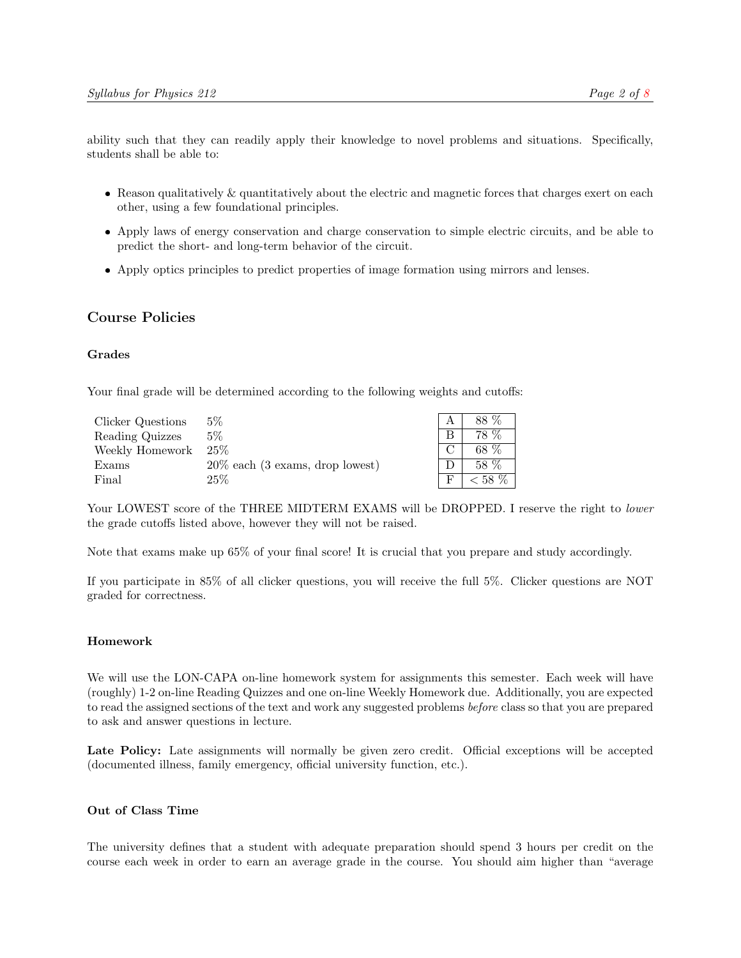ability such that they can readily apply their knowledge to novel problems and situations. Specifically, students shall be able to:

- Reason qualitatively & quantitatively about the electric and magnetic forces that charges exert on each other, using a few foundational principles.
- Apply laws of energy conservation and charge conservation to simple electric circuits, and be able to predict the short- and long-term behavior of the circuit.
- Apply optics principles to predict properties of image formation using mirrors and lenses.

## Course Policies

#### Grades

Your final grade will be determined according to the following weights and cutoffs:

| Clicker Questions | $5\%$                              |        | 88 %      |
|-------------------|------------------------------------|--------|-----------|
| Reading Quizzes   | 5%                                 | B      | 78 %      |
| Weekly Homework   | $25\%$                             | $\cap$ | 68 %      |
| Exams             | $20\%$ each (3 exams, drop lowest) |        | 58 %      |
| Final             | $25\%$                             |        | $< 58~\%$ |

Your LOWEST score of the THREE MIDTERM EXAMS will be DROPPED. I reserve the right to lower the grade cutoffs listed above, however they will not be raised.

Note that exams make up 65% of your final score! It is crucial that you prepare and study accordingly.

If you participate in 85% of all clicker questions, you will receive the full 5%. Clicker questions are NOT graded for correctness.

#### Homework

We will use the LON-CAPA on-line homework system for assignments this semester. Each week will have (roughly) 1-2 on-line Reading Quizzes and one on-line Weekly Homework due. Additionally, you are expected to read the assigned sections of the text and work any suggested problems *before* class so that you are prepared to ask and answer questions in lecture.

Late Policy: Late assignments will normally be given zero credit. Official exceptions will be accepted (documented illness, family emergency, official university function, etc.).

#### Out of Class Time

The university defines that a student with adequate preparation should spend 3 hours per credit on the course each week in order to earn an average grade in the course. You should aim higher than "average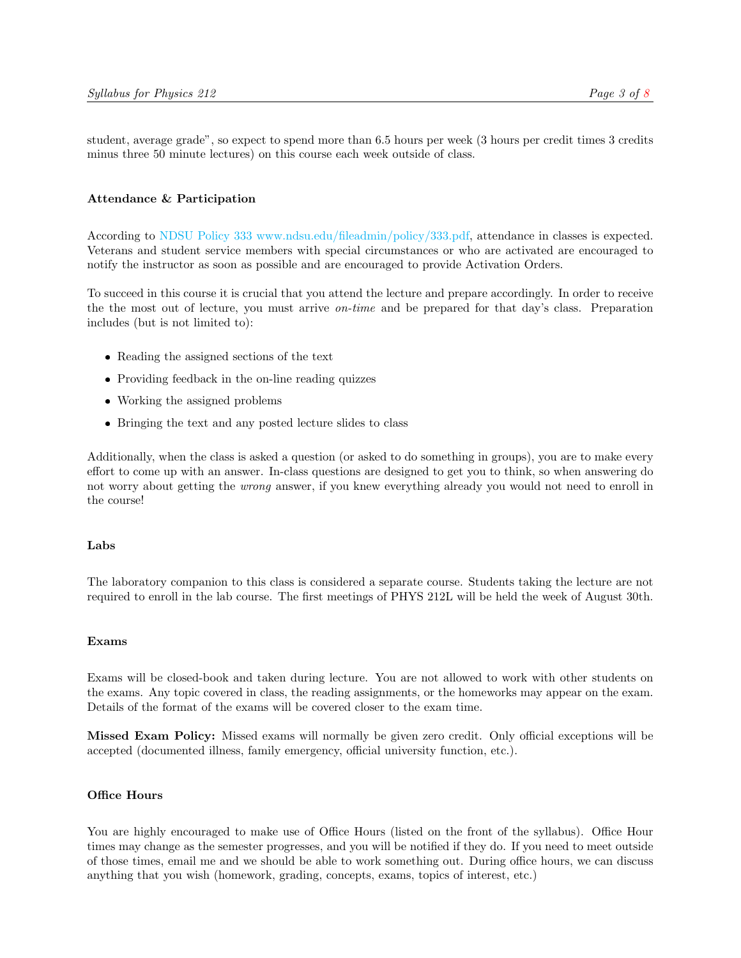student, average grade", so expect to spend more than 6.5 hours per week (3 hours per credit times 3 credits minus three 50 minute lectures) on this course each week outside of class.

#### Attendance & Participation

According to [NDSU Policy 333](#page-0-0) [www.ndsu.edu/fileadmin/policy/333.pdf,](#page-0-0) attendance in classes is expected. Veterans and student service members with special circumstances or who are activated are encouraged to notify the instructor as soon as possible and are encouraged to provide Activation Orders.

To succeed in this course it is crucial that you attend the lecture and prepare accordingly. In order to receive the the most out of lecture, you must arrive on-time and be prepared for that day's class. Preparation includes (but is not limited to):

- Reading the assigned sections of the text
- Providing feedback in the on-line reading quizzes
- Working the assigned problems
- Bringing the text and any posted lecture slides to class

Additionally, when the class is asked a question (or asked to do something in groups), you are to make every effort to come up with an answer. In-class questions are designed to get you to think, so when answering do not worry about getting the wrong answer, if you knew everything already you would not need to enroll in the course!

#### Labs

The laboratory companion to this class is considered a separate course. Students taking the lecture are not required to enroll in the lab course. The first meetings of PHYS 212L will be held the week of August 30th.

#### Exams

Exams will be closed-book and taken during lecture. You are not allowed to work with other students on the exams. Any topic covered in class, the reading assignments, or the homeworks may appear on the exam. Details of the format of the exams will be covered closer to the exam time.

Missed Exam Policy: Missed exams will normally be given zero credit. Only official exceptions will be accepted (documented illness, family emergency, official university function, etc.).

#### Office Hours

You are highly encouraged to make use of Office Hours (listed on the front of the syllabus). Office Hour times may change as the semester progresses, and you will be notified if they do. If you need to meet outside of those times, email me and we should be able to work something out. During office hours, we can discuss anything that you wish (homework, grading, concepts, exams, topics of interest, etc.)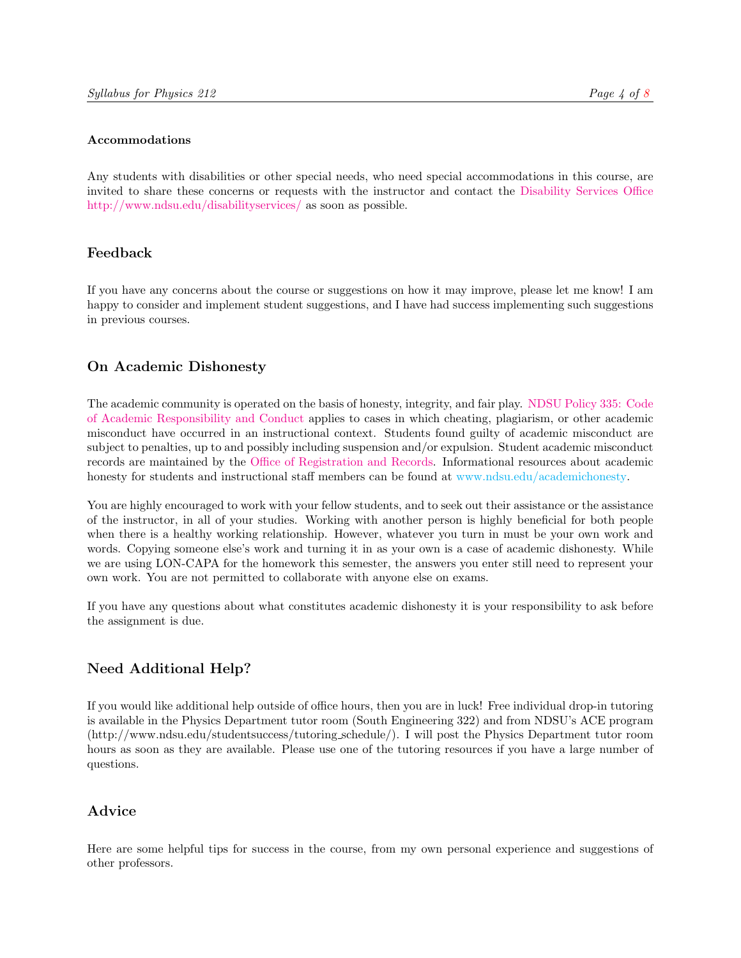#### Accommodations

Any students with disabilities or other special needs, who need special accommodations in this course, are invited to share these concerns or requests with the instructor and contact the [Disability Services Office](http://www.ndsu.edu/disabilityservices) [http://www.ndsu.edu/disabilityservices/](http://www.ndsu.edu/disabilityservices) as soon as possible.

# Feedback

If you have any concerns about the course or suggestions on how it may improve, please let me know! I am happy to consider and implement student suggestions, and I have had success implementing such suggestions in previous courses.

# On Academic Dishonesty

The academic community is operated on the basis of honesty, integrity, and fair play. [NDSU Policy 335:](http://www.ndsu.edu/fileadmin/policy/335.pdf) [Code](http://www.ndsu.edu/fileadmin/policy/335.pdf) [of Academic Responsibility and Conduct](http://www.ndsu.edu/fileadmin/policy/335.pdf) applies to cases in which cheating, plagiarism, or other academic misconduct have occurred in an instructional context. Students found guilty of academic misconduct are subject to penalties, up to and possibly including suspension and/or expulsion. Student academic misconduct records are maintained by the [Office of Registration and Records.](http://www.ndsu.edu/registrar) Informational resources about academic honesty for students and instructional staff members can be found at [www.ndsu.edu/academichonesty.](#page-0-0)

You are highly encouraged to work with your fellow students, and to seek out their assistance or the assistance of the instructor, in all of your studies. Working with another person is highly beneficial for both people when there is a healthy working relationship. However, whatever you turn in must be your own work and words. Copying someone else's work and turning it in as your own is a case of academic dishonesty. While we are using LON-CAPA for the homework this semester, the answers you enter still need to represent your own work. You are not permitted to collaborate with anyone else on exams.

If you have any questions about what constitutes academic dishonesty it is your responsibility to ask before the assignment is due.

# Need Additional Help?

If you would like additional help outside of office hours, then you are in luck! Free individual drop-in tutoring is available in the Physics Department tutor room (South Engineering 322) and from NDSU's ACE program (http://www.ndsu.edu/studentsuccess/tutoring schedule/). I will post the Physics Department tutor room hours as soon as they are available. Please use one of the tutoring resources if you have a large number of questions.

# Advice

Here are some helpful tips for success in the course, from my own personal experience and suggestions of other professors.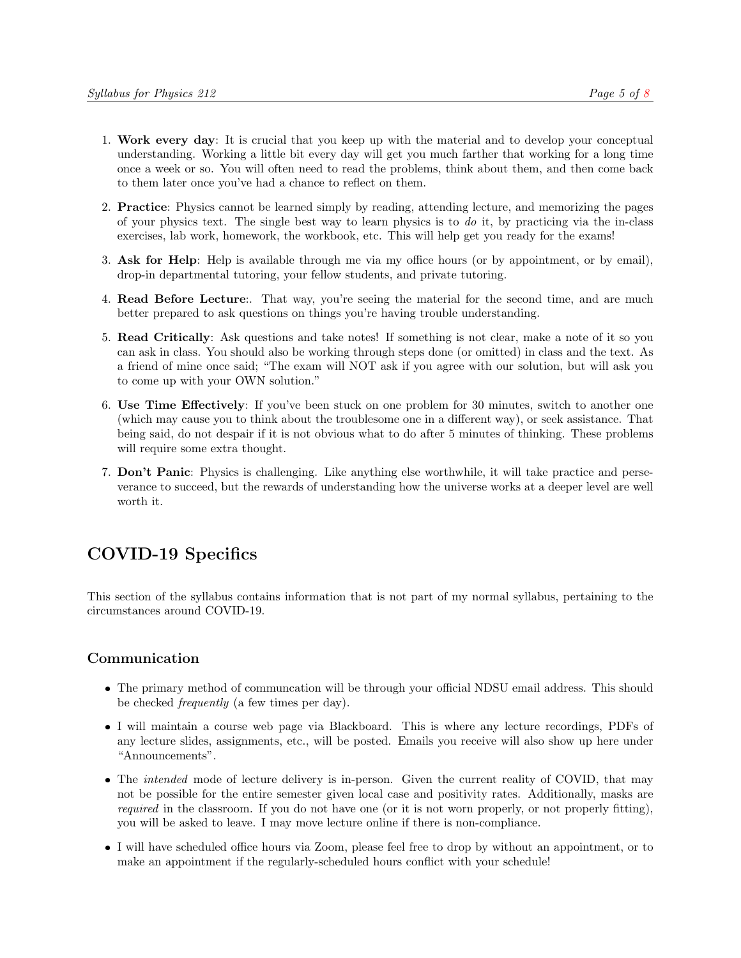- 1. Work every day: It is crucial that you keep up with the material and to develop your conceptual understanding. Working a little bit every day will get you much farther that working for a long time once a week or so. You will often need to read the problems, think about them, and then come back to them later once you've had a chance to reflect on them.
- 2. Practice: Physics cannot be learned simply by reading, attending lecture, and memorizing the pages of your physics text. The single best way to learn physics is to  $d\sigma$  it, by practicing via the in-class exercises, lab work, homework, the workbook, etc. This will help get you ready for the exams!
- 3. Ask for Help: Help is available through me via my office hours (or by appointment, or by email), drop-in departmental tutoring, your fellow students, and private tutoring.
- 4. Read Before Lecture:. That way, you're seeing the material for the second time, and are much better prepared to ask questions on things you're having trouble understanding.
- 5. Read Critically: Ask questions and take notes! If something is not clear, make a note of it so you can ask in class. You should also be working through steps done (or omitted) in class and the text. As a friend of mine once said; "The exam will NOT ask if you agree with our solution, but will ask you to come up with your OWN solution."
- 6. Use Time Effectively: If you've been stuck on one problem for 30 minutes, switch to another one (which may cause you to think about the troublesome one in a different way), or seek assistance. That being said, do not despair if it is not obvious what to do after 5 minutes of thinking. These problems will require some extra thought.
- 7. Don't Panic: Physics is challenging. Like anything else worthwhile, it will take practice and perseverance to succeed, but the rewards of understanding how the universe works at a deeper level are well worth it.

# COVID-19 Specifics

This section of the syllabus contains information that is not part of my normal syllabus, pertaining to the circumstances around COVID-19.

# Communication

- The primary method of communcation will be through your official NDSU email address. This should be checked frequently (a few times per day).
- I will maintain a course web page via Blackboard. This is where any lecture recordings, PDFs of any lecture slides, assignments, etc., will be posted. Emails you receive will also show up here under "Announcements".
- The *intended* mode of lecture delivery is in-person. Given the current reality of COVID, that may not be possible for the entire semester given local case and positivity rates. Additionally, masks are required in the classroom. If you do not have one (or it is not worn properly, or not properly fitting), you will be asked to leave. I may move lecture online if there is non-compliance.
- I will have scheduled office hours via Zoom, please feel free to drop by without an appointment, or to make an appointment if the regularly-scheduled hours conflict with your schedule!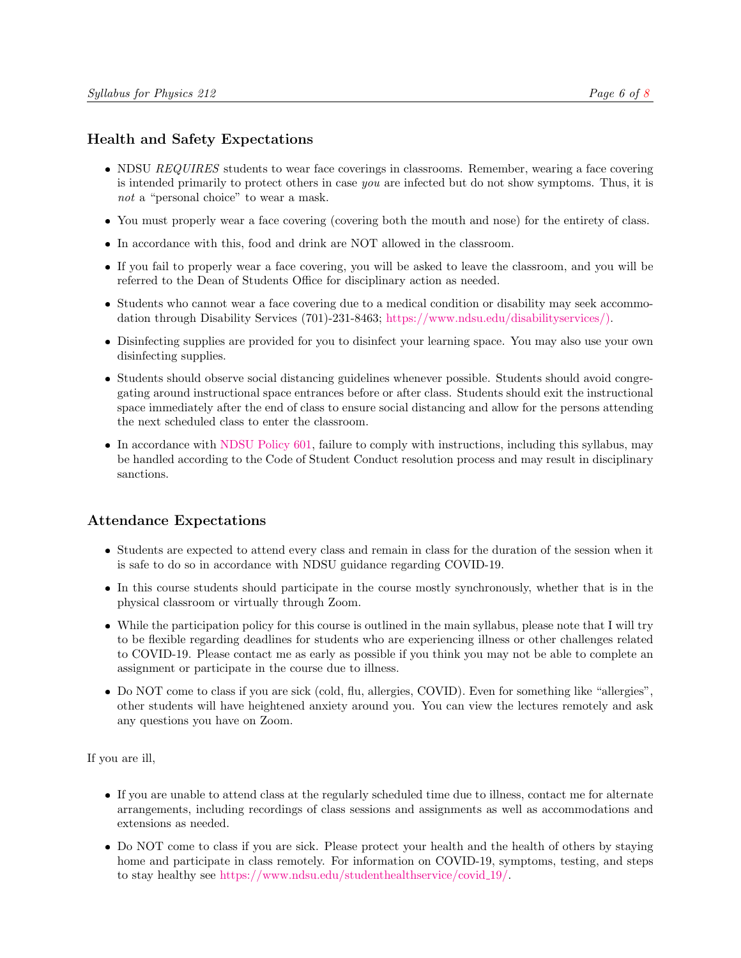# Health and Safety Expectations

- NDSU REQUIRES students to wear face coverings in classrooms. Remember, wearing a face covering is intended primarily to protect others in case you are infected but do not show symptoms. Thus, it is not a "personal choice" to wear a mask.
- You must properly wear a face covering (covering both the mouth and nose) for the entirety of class.
- In accordance with this, food and drink are NOT allowed in the classroom.
- If you fail to properly wear a face covering, you will be asked to leave the classroom, and you will be referred to the Dean of Students Office for disciplinary action as needed.
- Students who cannot wear a face covering due to a medical condition or disability may seek accommodation through Disability Services (701)-231-8463; [https://www.ndsu.edu/disabilityservices/\).](https://www.ndsu.edu/disabilityservices/)
- Disinfecting supplies are provided for you to disinfect your learning space. You may also use your own disinfecting supplies.
- Students should observe social distancing guidelines whenever possible. Students should avoid congregating around instructional space entrances before or after class. Students should exit the instructional space immediately after the end of class to ensure social distancing and allow for the persons attending the next scheduled class to enter the classroom.
- In accordance with [NDSU Policy 601,](https://www.ndsu.edu/fileadmin/policy/601.pdf) failure to comply with instructions, including this syllabus, may be handled according to the Code of Student Conduct resolution process and may result in disciplinary sanctions.

# Attendance Expectations

- Students are expected to attend every class and remain in class for the duration of the session when it is safe to do so in accordance with NDSU guidance regarding COVID-19.
- In this course students should participate in the course mostly synchronously, whether that is in the physical classroom or virtually through Zoom.
- While the participation policy for this course is outlined in the main syllabus, please note that I will try to be flexible regarding deadlines for students who are experiencing illness or other challenges related to COVID-19. Please contact me as early as possible if you think you may not be able to complete an assignment or participate in the course due to illness.
- Do NOT come to class if you are sick (cold, flu, allergies, COVID). Even for something like "allergies", other students will have heightened anxiety around you. You can view the lectures remotely and ask any questions you have on Zoom.

If you are ill,

- If you are unable to attend class at the regularly scheduled time due to illness, contact me for alternate arrangements, including recordings of class sessions and assignments as well as accommodations and extensions as needed.
- Do NOT come to class if you are sick. Please protect your health and the health of others by staying home and participate in class remotely. For information on COVID-19, symptoms, testing, and steps to stay healthy see [https://www.ndsu.edu/studenthealthservice/covid](https://www.ndsu.edu/studenthealthservice/covid_19/) 19/.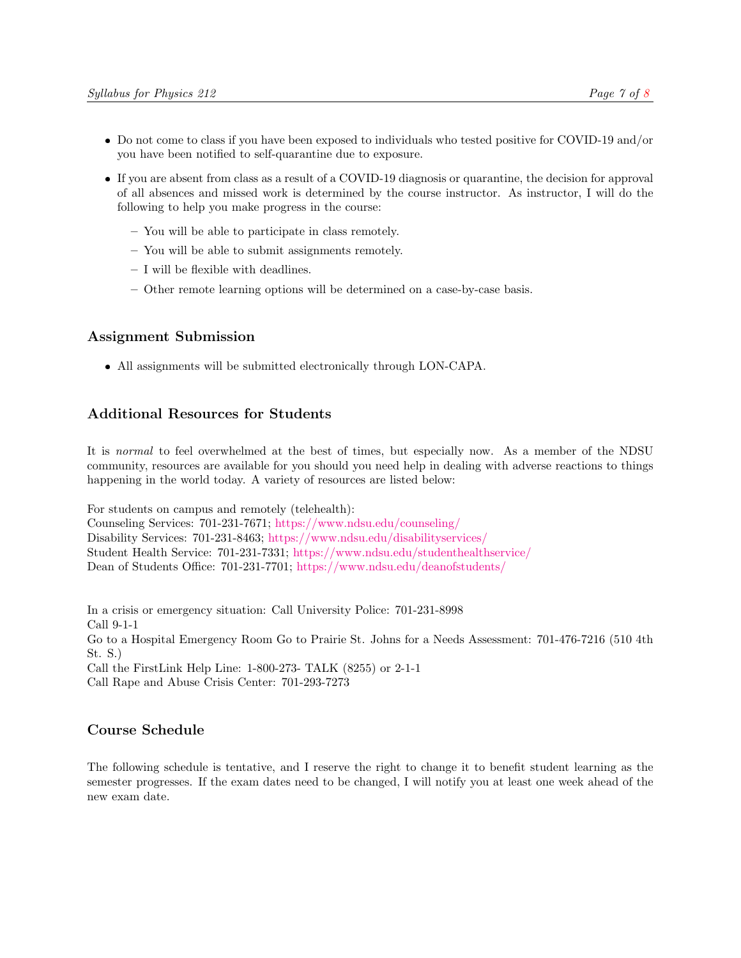- Do not come to class if you have been exposed to individuals who tested positive for COVID-19 and/or you have been notified to self-quarantine due to exposure.
- If you are absent from class as a result of a COVID-19 diagnosis or quarantine, the decision for approval of all absences and missed work is determined by the course instructor. As instructor, I will do the following to help you make progress in the course:
	- You will be able to participate in class remotely.
	- You will be able to submit assignments remotely.
	- I will be flexible with deadlines.
	- Other remote learning options will be determined on a case-by-case basis.

#### Assignment Submission

All assignments will be submitted electronically through LON-CAPA.

# Additional Resources for Students

It is normal to feel overwhelmed at the best of times, but especially now. As a member of the NDSU community, resources are available for you should you need help in dealing with adverse reactions to things happening in the world today. A variety of resources are listed below:

For students on campus and remotely (telehealth):

Counseling Services: 701-231-7671; <https://www.ndsu.edu/counseling/> Disability Services: 701-231-8463; <https://www.ndsu.edu/disabilityservices/> Student Health Service: 701-231-7331; <https://www.ndsu.edu/studenthealthservice/> Dean of Students Office: 701-231-7701; <https://www.ndsu.edu/deanofstudents/>

In a crisis or emergency situation: Call University Police: 701-231-8998 Call 9-1-1 Go to a Hospital Emergency Room Go to Prairie St. Johns for a Needs Assessment: 701-476-7216 (510 4th St. S.) Call the FirstLink Help Line: 1-800-273- TALK (8255) or 2-1-1 Call Rape and Abuse Crisis Center: 701-293-7273

## Course Schedule

The following schedule is tentative, and I reserve the right to change it to benefit student learning as the semester progresses. If the exam dates need to be changed, I will notify you at least one week ahead of the new exam date.